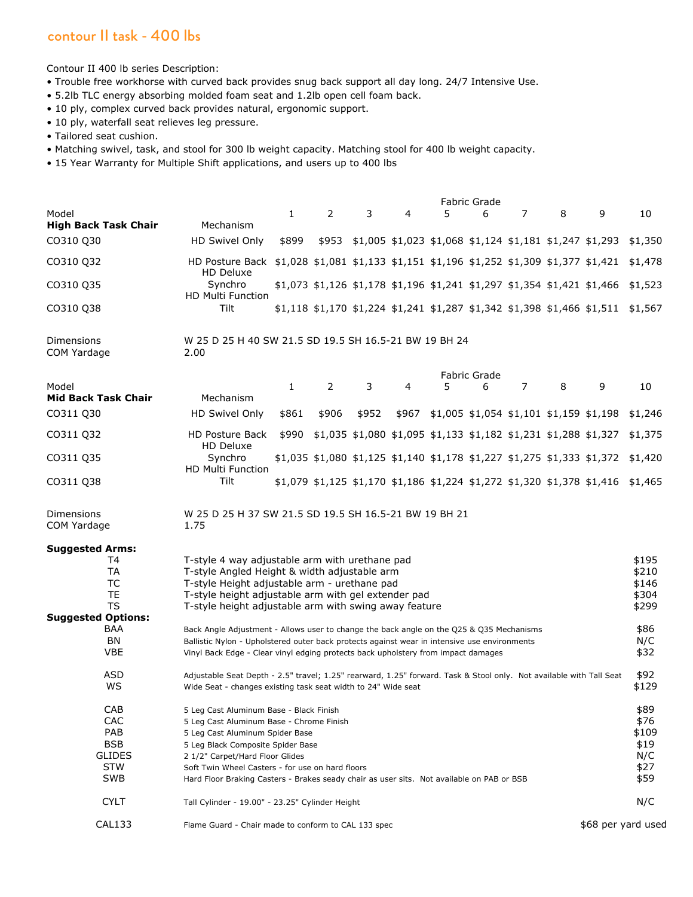## contour II task - 400 lbs

Contour II 400 lb series Description:

- Trouble free workhorse with curved back provides snug back support all day long. 24/7 Intensive Use.
- 5.2lb TLC energy absorbing molded foam seat and 1.2lb open cell foam back.
- 10 ply, complex curved back provides natural, ergonomic support.
- 10 ply, waterfall seat relieves leg pressure.
- Tailored seat cushion.
- Matching swivel, task, and stool for 300 lb weight capacity. Matching stool for 400 lb weight capacity.
- 15 Year Warranty for Multiple Shift applications, and users up to 400 lbs

|                                     | <b>Fabric Grade</b>                                                                                                                                                                      |              |                |       |   |                                                                                  |              |                    |       |                                                                                  |         |
|-------------------------------------|------------------------------------------------------------------------------------------------------------------------------------------------------------------------------------------|--------------|----------------|-------|---|----------------------------------------------------------------------------------|--------------|--------------------|-------|----------------------------------------------------------------------------------|---------|
| Model                               |                                                                                                                                                                                          | $\mathbf{1}$ | 2              | 3     | 4 | 5                                                                                | 6            | 7                  | 8     | 9                                                                                | 10      |
| <b>High Back Task Chair</b>         | Mechanism                                                                                                                                                                                |              |                |       |   |                                                                                  |              |                    |       |                                                                                  |         |
| CO310 Q30                           | HD Swivel Only                                                                                                                                                                           | \$899        | \$953          |       |   | $$1,005$ $$1,023$ $$1,068$ $$1,124$ $$1,181$ $$1,247$ $$1,293$                   |              |                    |       |                                                                                  | \$1,350 |
| CO310 Q32                           | <b>HD Posture Back</b><br>HD Deluxe                                                                                                                                                      |              |                |       |   | $$1,028$ $$1,081$ $$1,133$ $$1,151$ $$1,196$ $$1,252$ $$1,309$ $$1,377$ $$1,421$ |              |                    |       |                                                                                  | \$1,478 |
| CO310 Q35                           | Synchro<br><b>HD Multi Function</b>                                                                                                                                                      |              |                |       |   | \$1,073 \$1,126 \$1,178 \$1,196 \$1,241 \$1,297 \$1,354 \$1,421 \$1,466          |              |                    |       |                                                                                  | \$1,523 |
| CO310 Q38                           | <b>Tilt</b>                                                                                                                                                                              |              |                |       |   | \$1,118 \$1,170 \$1,224 \$1,241 \$1,287 \$1,342 \$1,398 \$1,466 \$1,511          |              |                    |       |                                                                                  | \$1,567 |
| <b>Dimensions</b><br>COM Yardage    | W 25 D 25 H 40 SW 21.5 SD 19.5 SH 16.5-21 BW 19 BH 24<br>2.00                                                                                                                            |              |                |       |   |                                                                                  |              |                    |       |                                                                                  |         |
|                                     |                                                                                                                                                                                          |              |                |       |   |                                                                                  | Fabric Grade |                    |       |                                                                                  |         |
| Model<br><b>Mid Back Task Chair</b> | Mechanism                                                                                                                                                                                | $\mathbf{1}$ | $\overline{2}$ | 3     | 4 | 5                                                                                | 6            | 7                  | 8     | 9                                                                                | 10      |
| CO311 Q30                           | HD Swivel Only                                                                                                                                                                           | \$861        | \$906          | \$952 |   | \$967 \$1,005 \$1,054 \$1,101 \$1,159 \$1,198                                    |              |                    |       |                                                                                  | \$1,246 |
| CO311 Q32                           | <b>HD Posture Back</b><br>HD Deluxe                                                                                                                                                      | \$990        |                |       |   | \$1,035 \$1,080 \$1,095 \$1,133 \$1,182 \$1,231 \$1,288 \$1,327                  |              |                    |       |                                                                                  | \$1,375 |
| CO311 Q35                           | Synchro<br><b>HD Multi Function</b>                                                                                                                                                      |              |                |       |   |                                                                                  |              |                    |       | $$1,035$ $$1,080$ $$1,125$ $$1,140$ $$1,178$ $$1,227$ $$1,275$ $$1,333$ $$1,372$ | \$1,420 |
| CO311 Q38                           | Tilt                                                                                                                                                                                     |              |                |       |   | \$1,079 \$1,125 \$1,170 \$1,186 \$1,224 \$1,272 \$1,320 \$1,378 \$1,416          |              |                    |       |                                                                                  | \$1,465 |
| Dimensions<br>COM Yardage           | W 25 D 25 H 37 SW 21.5 SD 19.5 SH 16.5-21 BW 19 BH 21<br>1.75                                                                                                                            |              |                |       |   |                                                                                  |              |                    |       |                                                                                  |         |
| <b>Suggested Arms:</b>              |                                                                                                                                                                                          |              |                |       |   |                                                                                  |              |                    |       |                                                                                  |         |
| T4                                  | T-style 4 way adjustable arm with urethane pad                                                                                                                                           |              |                |       |   |                                                                                  |              |                    |       |                                                                                  | \$195   |
| <b>TA</b>                           | T-style Angled Height & width adjustable arm                                                                                                                                             |              |                |       |   |                                                                                  |              |                    | \$210 |                                                                                  |         |
| TC                                  | T-style Height adjustable arm - urethane pad                                                                                                                                             |              |                |       |   |                                                                                  |              |                    | \$146 |                                                                                  |         |
| <b>TE</b>                           | T-style height adjustable arm with gel extender pad                                                                                                                                      |              |                |       |   |                                                                                  |              |                    | \$304 |                                                                                  |         |
| <b>TS</b>                           | T-style height adjustable arm with swing away feature                                                                                                                                    |              |                |       |   |                                                                                  |              |                    | \$299 |                                                                                  |         |
| <b>Suggested Options:</b>           |                                                                                                                                                                                          |              |                |       |   |                                                                                  |              |                    |       |                                                                                  |         |
| BAA                                 |                                                                                                                                                                                          |              |                |       |   |                                                                                  |              |                    |       |                                                                                  | \$86    |
| <b>BN</b>                           | Back Angle Adjustment - Allows user to change the back angle on the Q25 & Q35 Mechanisms<br>Ballistic Nylon - Upholstered outer back protects against wear in intensive use environments |              |                |       |   |                                                                                  |              |                    | N/C   |                                                                                  |         |
| <b>VBE</b>                          | Vinyl Back Edge - Clear vinyl edging protects back upholstery from impact damages                                                                                                        |              |                |       |   |                                                                                  |              | \$32               |       |                                                                                  |         |
| ASD                                 | Adjustable Seat Depth - 2.5" travel; 1.25" rearward, 1.25" forward. Task & Stool only. Not available with Tall Seat                                                                      |              |                |       |   |                                                                                  |              |                    |       |                                                                                  | \$92    |
| <b>WS</b>                           | Wide Seat - changes existing task seat width to 24" Wide seat                                                                                                                            |              |                |       |   |                                                                                  |              |                    |       |                                                                                  | \$129   |
| CAB                                 | 5 Leg Cast Aluminum Base - Black Finish                                                                                                                                                  |              |                |       |   |                                                                                  |              |                    |       |                                                                                  | \$89    |
| CAC                                 | 5 Leg Cast Aluminum Base - Chrome Finish                                                                                                                                                 |              |                |       |   |                                                                                  |              |                    |       |                                                                                  | \$76    |
| PAB                                 | 5 Leg Cast Aluminum Spider Base                                                                                                                                                          |              |                |       |   |                                                                                  |              |                    |       |                                                                                  | \$109   |
| <b>BSB</b>                          | 5 Leg Black Composite Spider Base                                                                                                                                                        |              |                |       |   |                                                                                  |              |                    |       |                                                                                  | \$19    |
| <b>GLIDES</b>                       | 2 1/2" Carpet/Hard Floor Glides                                                                                                                                                          |              |                |       |   |                                                                                  |              |                    |       |                                                                                  | N/C     |
| <b>STW</b>                          | Soft Twin Wheel Casters - for use on hard floors                                                                                                                                         |              |                |       |   |                                                                                  |              |                    |       |                                                                                  | \$27    |
| SWB                                 | Hard Floor Braking Casters - Brakes seady chair as user sits. Not available on PAB or BSB                                                                                                |              |                |       |   |                                                                                  |              |                    |       |                                                                                  | \$59    |
| <b>CYLT</b>                         | Tall Cylinder - 19.00" - 23.25" Cylinder Height                                                                                                                                          |              |                |       |   |                                                                                  |              |                    |       |                                                                                  | N/C     |
| <b>CAL133</b>                       | Flame Guard - Chair made to conform to CAL 133 spec                                                                                                                                      |              |                |       |   |                                                                                  |              | \$68 per yard used |       |                                                                                  |         |